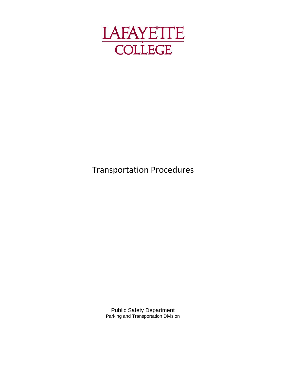

# Transportation Procedures

Public Safety Department Parking and Transportation Division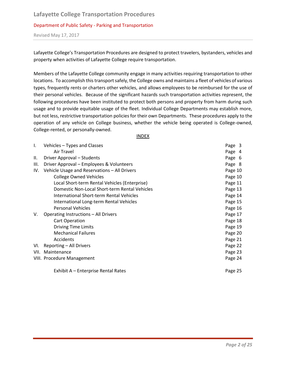Revised May 17, 2017

Lafayette College's Transportation Procedures are designed to protect travelers, bystanders, vehicles and property when activities of Lafayette College require transportation.

Members of the Lafayette College community engage in many activities requiring transportation to other locations. To accomplish this transport safely, the College owns and maintains a fleet of vehicles of various types, frequently rents or charters other vehicles, and allows employees to be reimbursed for the use of their personal vehicles. Because of the significant hazards such transportation activities represent, the following procedures have been instituted to protect both persons and property from harm during such usage and to provide equitable usage of the fleet. Individual College Departments may establish more, but not less, restrictive transportation policies for their own Departments. These procedures apply to the operation of any vehicle on College business, whether the vehicle being operated is College-owned, College-rented, or personally-owned.

INDEX

| $\mathsf{l}$ . | Vehicles - Types and Classes                    | Page 3  |
|----------------|-------------------------------------------------|---------|
|                | Air Travel                                      | Page 4  |
| Ш.             | Driver Approval - Students                      | Page 6  |
| III.           | Driver Approval - Employees & Volunteers        | Page 8  |
| IV.            | Vehicle Usage and Reservations - All Drivers    | Page 10 |
|                | <b>College Owned Vehicles</b>                   | Page 10 |
|                | Local Short-term Rental Vehicles (Enterprise)   | Page 11 |
|                | Domestic Non-Local Short-term Rental Vehicles   | Page 13 |
|                | <b>International Short-term Rental Vehicles</b> | Page 14 |
|                | International Long-term Rental Vehicles         | Page 15 |
|                | <b>Personal Vehicles</b>                        | Page 16 |
| V.             | Operating Instructions - All Drivers            | Page 17 |
|                | <b>Cart Operation</b>                           | Page 18 |
|                | <b>Driving Time Limits</b>                      | Page 19 |
|                | <b>Mechanical Failures</b>                      | Page 20 |
|                | Accidents                                       | Page 21 |
| VI.            | Reporting - All Drivers                         | Page 22 |
| VII.           | Maintenance                                     | Page 23 |
|                | VIII. Procedure Management                      | Page 24 |
|                | Exhibit A - Enterprise Rental Rates             | Page 25 |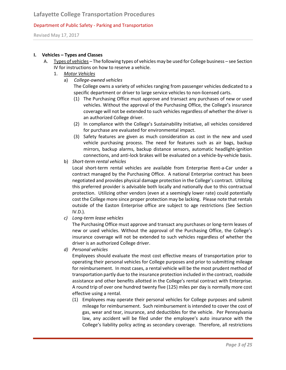Revised May 17, 2017

#### **I. Vehicles – Types and Classes**

- A. Types of vehicles The following types of vehicles may be used for College business see Section IV for instructions on how to reserve a vehicle.
	- 1. *Motor Vehicles*
		- a) *College-owned vehicles*

The College owns a variety of vehicles ranging from passenger vehicles dedicated to a specific department or driver to large service vehicles to non-licensed carts.

- (1) The Purchasing Office must approve and transact any purchases of new or used vehicles. Without the approval of the Purchasing Office, the College's insurance coverage will not be extended to such vehicles regardless of whether the driver is an authorized College driver.
- (2) In compliance with the College's Sustainability Initiative, all vehicles considered for purchase are evaluated for environmental impact.
- (3) Safety features are given as much consideration as cost in the new and used vehicle purchasing process. The need for features such as air bags, backup mirrors, backup alarms, backup distance sensors, automatic headlight-ignition connections, and anti-lock brakes will be evaluated on a vehicle-by-vehicle basis.
- b) *Short-term rental vehicles*

Local short-term rental vehicles are available from Enterprise Rent-a-Car under a contract managed by the Purchasing Office. A national Enterprise contract has been negotiated and provides physical damage protection in the College's contract. Utilizing this preferred provider is advisable both locally and nationally due to this contractual protection. Utilizing other vendors (even at a seemingly lower rate) could potentially cost the College more since proper protection may be lacking. Please note that rentals outside of the Easton Enterprise office are subject to age restrictions (See Section IV.D.).

*c) Long-term lease vehicles*

The Purchasing Office must approve and transact any purchases or long-term leases of new or used vehicles. Without the approval of the Purchasing Office, the College's insurance coverage will not be extended to such vehicles regardless of whether the driver is an authorized College driver.

*d) Personal vehicles*

Employees should evaluate the most cost effective means of transportation prior to operating their personal vehicles for College purposes and prior to submitting mileage for reimbursement. In most cases, a rental vehicle will be the most prudent method of transportation partly due to the insurance protection included in the contract, roadside assistance and other benefits allotted in the College's rental contract with Enterprise. A round trip of over one hundred twenty five (125) miles per day is normally more cost effective using a rental.

(1) Employees may operate their personal vehicles for College purposes and submit mileage for reimbursement. Such reimbursement is intended to cover the cost of gas, wear and tear, insurance, and deductibles for the vehicle. Per Pennsylvania law, any accident will be filed under the employee's auto insurance with the College's liability policy acting as secondary coverage. Therefore, all restrictions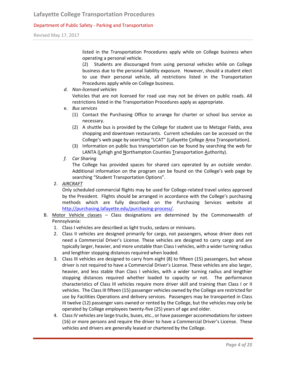Revised May 17, 2017

listed in the Transportation Procedures apply while on College business when operating a personal vehicle.

(2) Students are discouraged from using personal vehicles while on College business due to the personal liability exposure. However, should a student elect to use their personal vehicle, all restrictions listed in the Transportation Procedures apply while on College business.

*d. Non-licensed vehicles*

Vehicles that are not licensed for road use may not be driven on public roads. All restrictions listed in the Transportation Procedures apply as appropriate.

- e. *Bus services*
	- (1) Contact the Purchasing Office to arrange for charter or school bus service as necessary.
	- (2) A shuttle bus is provided by the College for student use to Metzgar Fields, area shopping and downtown restaurants. Current schedules can be accessed on the College's web page by searching "LCAT" (Lafayette College Area Transportation).
	- (3) Information on public bus transportation can be found by searching the web for LANTA (Lehigh and Northampton Counties Transportation Authority).
- *f. Car Sharing*

The College has provided spaces for shared cars operated by an outside vendor. Additional information on the program can be found on the College's web page by searching "Student Transportation Options".

2. *AIRCRAFT*

Only scheduled commercial flights may be used for College-related travel unless approved by the President. Flights should be arranged in accordance with the College's purchasing methods which are fully described on the Purchasing Services website at [http://purchasing.lafayette.edu/purchasing-process/.](http://purchasing.lafayette.edu/purchasing-process/)

- B. Motor Vehicle classes Class designations are determined by the Commonwealth of Pennsylvania:
	- 1. Class I vehicles are described as light trucks, sedans or minivans.
	- 2. Class II vehicles are designed primarily for cargo, not passengers, whose driver does not need a Commercial Driver's License. These vehicles are designed to carry cargo and are typically larger, heavier, and more unstable than Class I vehicles, with a wider turning radius and lengthier stopping distances required when loaded.
	- 3. Class III vehicles are designed to carry from eight (8) to fifteen (15) passengers, but whose driver is not required to have a Commercial Driver's License. These vehicles are also larger, heavier, and less stable than Class I vehicles, with a wider turning radius and lengthier stopping distances required whether loaded to capacity or not. The performance characteristics of Class III vehicles require more driver skill and training than Class I or II vehicles. The Class III fifteen (15) passenger vehicles owned by the College are restricted for use by Facilities Operations and delivery services. Passengers may be transported in Class III twelve (12) passenger vans owned or rented by the College, but the vehicles may only be operated by College employees twenty-five (25) years of age and older.
	- 4. Class IV vehicles are large trucks, buses, etc., or have passenger accommodations for sixteen (16) or more persons and require the driver to have a Commercial Driver's License. These vehicles and drivers are generally leased or chartered by the College.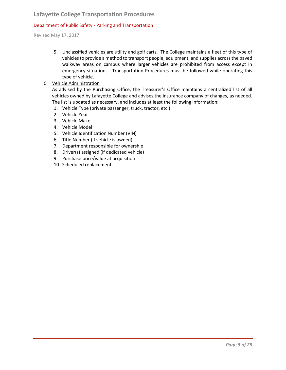# **Lafayette College Transportation Procedures**

#### Department of Public Safety - Parking and Transportation

Revised May 17, 2017

- 5. Unclassified vehicles are utility and golf carts. The College maintains a fleet of this type of vehicles to provide a method to transport people, equipment, and supplies across the paved walkway areas on campus where larger vehicles are prohibited from access except in emergency situations. Transportation Procedures must be followed while operating this type of vehicle.
- C. Vehicle Administration

As advised by the Purchasing Office, the Treasurer's Office maintains a centralized list of all vehicles owned by Lafayette College and advises the insurance company of changes, as needed. The list is updated as necessary, and includes at least the following information:

- 1. Vehicle Type (private passenger, truck, tractor, etc.)
- 2. Vehicle Year
- 3. Vehicle Make
- 4. Vehicle Model
- 5. Vehicle Identification Number (VIN)
- 6. Title Number (if vehicle is owned)
- 7. Department responsible for ownership
- 8. Driver(s) assigned (if dedicated vehicle)
- 9. Purchase price/value at acquisition
- 10. Scheduled replacement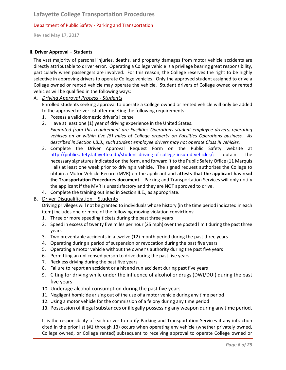Revised May 17, 2017

#### **II. Driver Approval – Students**

The vast majority of personal injuries, deaths, and property damages from motor vehicle accidents are directly attributable to driver error. Operating a College vehicle is a privilege bearing great responsibility, particularly when passengers are involved. For this reason, the College reserves the right to be highly selective in approving drivers to operate College vehicles. Only the approved student assigned to drive a College owned or rented vehicle may operate the vehicle. Student drivers of College owned or rented vehicles will be qualified in the following ways:

# A. *Driving Approval Process - Students*

Enrolled students seeking approval to operate a College owned or rented vehicle will only be added to the approved driver list after meeting the following requirements:

- 1. Possess a valid domestic driver's license
- 2. Have at least one (1) year of driving experience in the United States. *Exempted from this requirement are Facilities Operations student employee drivers, operating vehicles on or within five (5) miles of College property on Facilities Operations business. As described in Section I.B.3., such student employee drivers may not operate Class III vehicles.*
- 3. Complete the Driver Approval Request Form on the Public Safety website at [http://publicsafety.lafayette.edu/student-driving-of-college-insured-vehicles/;](http://publicsafety.lafayette.edu/student-driving-of-college-insured-vehicles/) obtain the necessary signatures indicated on the form, and forward it to the Public Safety Office (11 Marquis Hall) at least one week prior to driving a vehicle. The signed request authorizes the College to obtain a Motor Vehicle Record (MVR) on the applicant and **attests that the applicant has read the Transportation Procedures document**. Parking and Transportation Services will only notify the applicant if the MVR is unsatisfactory and they are NOT approved to drive.
- 4. Complete the training outlined in Section II.E., as appropriate.

#### B. Driver Disqualification – Students

Driving privileges will not be granted to individuals whose history (in the time period indicated in each item) includes one or more of the following moving violation convictions:

- 1. Three or more speeding tickets during the past three years
- 2. Speed in excess of twenty five miles per hour (25 mph) over the posted limit during the past three years
- 3. Two preventable accidents in a twelve (12)-month period during the past three years
- 4. Operating during a period of suspension or revocation during the past five years
- 5. Operating a motor vehicle without the owner's authority during the past five years
- 6. Permitting an unlicensed person to drive during the past five years
- 7. Reckless driving during the past five years
- 8. Failure to report an accident or a hit and run accident during past five years
- 9. Citing for driving while under the influence of alcohol or drugs (DWI/DUI) during the past five years
- 10. Underage alcohol consumption during the past five years
- 11. Negligent homicide arising out of the use of a motor vehicle during any time period
- 12. Using a motor vehicle for the commission of a felony during any time period
- 13. Possession of illegal substances or illegally possessing any weapon during any time period.

It is the responsibility of each driver to notify Parking and Transportation Services if any infraction cited in the prior list (#1 through 13) occurs when operating any vehicle (whether privately owned, College owned, or College rented) subsequent to receiving approval to operate College owned or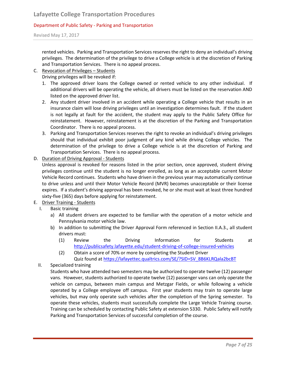Revised May 17, 2017

rented vehicles. Parking and Transportation Services reserves the right to deny an individual's driving privileges. The determination of the privilege to drive a College vehicle is at the discretion of Parking and Transportation Services. There is no appeal process.

# C. Revocation of Privileges – Students

Driving privileges will be revoked if:

- 1. The approved driver loans the College owned or rented vehicle to any other individual. If additional drivers will be operating the vehicle, all drivers must be listed on the reservation AND listed on the approved driver list.
- 2. Any student driver involved in an accident while operating a College vehicle that results in an insurance claim will lose driving privileges until an investigation determines fault. If the student is not legally at fault for the accident, the student may apply to the Public Safety Office for reinstatement. However, reinstatement is at the discretion of the Parking and Transportation Coordinator. There is no appeal process.
- 3. Parking and Transportation Services reserves the right to revoke an individual's driving privileges should that individual exhibit poor judgment of any kind while driving College vehicles. The determination of the privilege to drive a College vehicle is at the discretion of Parking and Transportation Services. There is no appeal process.
- D. Duration of Driving Approval Students

Unless approval is revoked for reasons listed in the prior section, once approved, student driving privileges continue until the student is no longer enrolled, as long as an acceptable current Motor Vehicle Record continues. Students who have driven in the previous year may automatically continue to drive unless and until their Motor Vehicle Record (MVR) becomes unacceptable or their license expires. If a student's driving approval has been revoked, he or she must wait at least three hundred sixty-five (365) days before applying for reinstatement.

# E. Driver Training - Students

- I. Basic training
	- a) All student drivers are expected to be familiar with the operation of a motor vehicle and Pennsylvania motor vehicle law.
	- b) In addition to submitting the Driver Approval Form referenced in Section II.A.3., all student drivers must:
		- (1) Review the Driving Information for Students at <http://publicsafety.lafayette.edu/student-driving-of-college-insured-vehicles>
		- (2) Obtain a score of 70% or more by completing the Student Driver Quiz found a[t https://lafayettec.qualtrics.com/SE/?SID=SV\\_8B6KLRQala2bcBT](https://lafayettec.qualtrics.com/SE/?SID=SV_8B6KLRQala2bcBT)
- II. Specialized training

Students who have attended two semesters may be authorized to operate twelve (12) passenger vans. However, students authorized to operate twelve (12) passenger vans can only operate the vehicle on campus, between main campus and Metzgar Fields, or while following a vehicle operated by a College employee off campus. First year students may train to operate large vehicles, but may only operate such vehicles after the completion of the Spring semester. To operate these vehicles, students must successfully complete the Large Vehicle Training course. Training can be scheduled by contacting Public Safety at extension 5330. Public Safety will notify Parking and Transportation Services of successful completion of the course.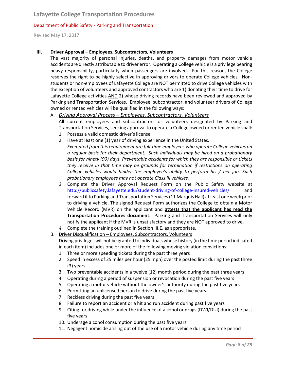Revised May 17, 2017

#### **III. Driver Approval – Employees, Subcontractors, Volunteers**

The vast majority of personal injuries, deaths, and property damages from motor vehicle accidents are directly attributable to driver error. Operating a College vehicle is a privilege bearing heavy responsibility, particularly when passengers are involved. For this reason, the College reserves the right to be highly selective in approving drivers to operate College vehicles. Nonstudents or non-employees of Lafayette College are NOT permitted to drive College vehicles with the exception of volunteers and approved contractors who are 1) donating their time to drive for Lafayette College activities AND 2) whose driving records have been reviewed and approved by Parking and Transportation Services. Employee, subcontractor, and volunteer drivers of College owned or rented vehicles will be qualified in the following ways:

#### A. *Driving Approval Process – Employees, Subcontractors, Volunteers* All current employees and subcontractors or volunteers designated by Parking and

Transportation Services, seeking approval to operate a College owned or rented vehicle shall:

- 1. Possess a valid domestic driver's license
- 2. Have at least one (1) year of driving experience in the United States.
	- *Exempted from this requirement are full-time employees who operate College vehicles on a regular basis for their department. Such individuals may be hired on a probationary basis for ninety (90) days. Preventable accidents for which they are responsible or tickets they receive in that time may be grounds for termination if restrictions on operating College vehicles would hinder the employee's ability to perform his / her job. Such probationary employees may not operate Class III vehicles.*
- *3.* Complete the Driver Approval Request Form on the Public Safety website at <http://publicsafety.lafayette.edu/student-driving-of-college-insured-vehicles/> and forward it to Parking and Transportation Services (11 Marquis Hall) at least one week prior to driving a vehicle. The signed Request Form authorizes the College to obtain a Motor Vehicle Record (MVR) on the applicant and **attests that the applicant has read the Transportation Procedures document**. Parking and Transportation Services will only notify the applicant if the MVR is unsatisfactory and they are NOT approved to drive.
- *4.* Complete the training outlined in Section III.E. as appropriate.
- B. Driver Disqualification Employees, Subcontractors, Volunteers Driving privileges will not be granted to individuals whose history (in the time period indicated in each item) includes one or more of the following moving violation convictions:
	- 1. Three or more speeding tickets during the past three years
	- 2. Speed in excess of 25 miles per hour (25 mph) over the posted limit during the past three (3) years
	- 3. Two preventable accidents in a twelve (12) month period during the past three years
	- 4. Operating during a period of suspension or revocation during the past five years
	- 5. Operating a motor vehicle without the owner's authority during the past five years
	- 6. Permitting an unlicensed person to drive during the past five years
	- 7. Reckless driving during the past five years
	- 8. Failure to report an accident or a hit and run accident during past five years
	- 9. Citing for driving while under the influence of alcohol or drugs (DWI/DUI) during the past five years
	- 10. Underage alcohol consumption during the past five years
	- 11. Negligent homicide arising out of the use of a motor vehicle during any time period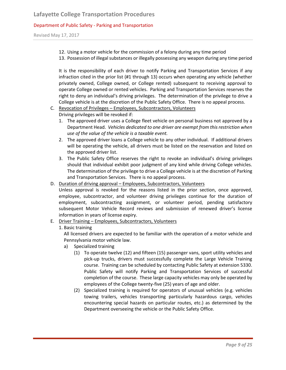Revised May 17, 2017

- 12. Using a motor vehicle for the commission of a felony during any time period
- 13. Possession of illegal substances or illegally possessing any weapon during any time period

It is the responsibility of each driver to notify Parking and Transportation Services if any infraction cited in the prior list (#1 through 13) occurs when operating any vehicle (whether privately owned, College owned, or College rented) subsequent to receiving approval to operate College owned or rented vehicles. Parking and Transportation Services reserves the right to deny an individual's driving privileges. The determination of the privilege to drive a College vehicle is at the discretion of the Public Safety Office. There is no appeal process.

# C. Revocation of Privileges – Employees, Subcontractors, Volunteers

Driving privileges will be revoked if:

- 1. The approved driver uses a College fleet vehicle on personal business not approved by a Department Head. *Vehicles dedicated to one driver are exempt from this restriction when use of the value of the vehicle is a taxable event.*
- 2. The approved driver loans a College vehicle to any other individual. If additional drivers will be operating the vehicle, all drivers must be listed on the reservation and listed on the approved driver list.
- 3. The Public Safety Office reserves the right to revoke an individual's driving privileges should that individual exhibit poor judgment of any kind while driving College vehicles. The determination of the privilege to drive a College vehicle is at the discretion of Parking and Transportation Services. There is no appeal process.
- D. Duration of driving approval Employees, Subcontractors, Volunteers

Unless approval is revoked for the reasons listed in the prior section, once approved, employee, subcontractor, and volunteer driving privileges continue for the duration of employment, subcontracting assignment, or volunteer period, pending satisfactory subsequent Motor Vehicle Record reviews and submission of renewed driver's license information in years of license expiry.

E. Driver Training – Employees, Subcontractors, Volunteers

#### 1. Basic training

All licensed drivers are expected to be familiar with the operation of a motor vehicle and Pennsylvania motor vehicle law.

- a) Specialized training
	- (1) To operate twelve (12) and fifteen (15) passenger vans, sport utility vehicles and pick-up trucks, drivers must successfully complete the Large Vehicle Training course. Training can be scheduled by contacting Public Safety at extension 5330. Public Safety will notify Parking and Transportation Services of successful completion of the course. These large capacity vehicles may only be operated by employees of the College twenty-five (25) years of age and older.
	- (2) Specialized training is required for operators of unusual vehicles (e.g. vehicles towing trailers, vehicles transporting particularly hazardous cargo, vehicles encountering special hazards on particular routes, etc.) as determined by the Department overseeing the vehicle or the Public Safety Office.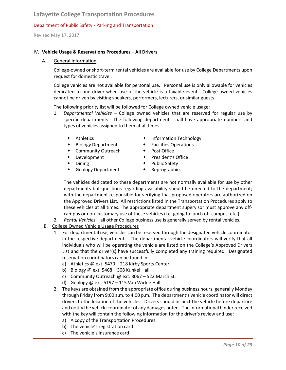Revised May 17, 2017

#### IV. **Vehicle Usage & Reservations Procedures – All Drivers**

#### A. General Information

College-owned or short-term rental vehicles are available for use by College Departments upon request for domestic travel.

College vehicles are not available for personal use. Personal use is only allowable for vehicles dedicated to one driver when use of the vehicle is a taxable event. College owned vehicles cannot be driven by visiting speakers, performers, lecturers, or similar guests.

The following priority list will be followed for College owned vehicle usage:

- 1. *Departmental Vehicles –* College owned vehicles that are reserved for regular use by specific departments. The following departments shall have appropriate numbers and types of vehicles assigned to them at all times:
	-
	- Biology Department Facilities Operations
	- Community Outreach Post Office
	-
	-
	- Geology Department Reprographics
	- Athletics Information Technology
		-
		-
	- Development President's Office
	- ◆ Dining → Public Safety
		-

The vehicles dedicated to these departments are not normally available for use by other departments but questions regarding availability should be directed to the department; with the department responsible for verifying that proposed operators are authorized on the Approved Drivers List. All restrictions listed in the Transportation Procedures apply to these vehicles at all times. The appropriate department supervisor must approve any offcampus or non-customary use of these vehicles (i.e. going to lunch off-campus, etc.).

- 2*. Rental Vehicles –* all other College business use is generally served by rental vehicles.
- B. College Owned Vehicle Usage Procedures
	- 1. For departmental use, vehicles can be reserved through the designated vehicle coordinator in the respective department. The departmental vehicle coordinators will verify that all individuals who will be operating the vehicle are listed on the College's Approved Drivers List and that the driver(s) have successfully completed any training required. Designated reservation coordinators can be found in:
		- a) Athletics @ ext. 5470 218 Kirby Sports Center
		- b) Biology @ ext. 5468 308 Kunkel Hall
		- c) Community Outreach @ ext. 3067 522 March St.
		- d) Geology @ ext. 5197 115 Van Wickle Hall
	- 2. The keys are obtained from the appropriate office during business hours, generally Monday through Friday from 9:00 a.m. to 4:00 p.m. The department's vehicle coordinator will direct drivers to the location of the vehicles. Drivers should inspect the vehicle before departure and notify the vehicle coordinator of any damages noted. The informational binder received with the key will contain the following information for the driver's review and use:
		- a) A copy of the Transportation Procedures
		- b) The vehicle's registration card
		- c) The vehicle's insurance card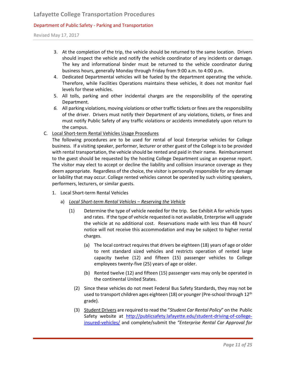Revised May 17, 2017

- 3. At the completion of the trip, the vehicle should be returned to the same location. Drivers should inspect the vehicle and notify the vehicle coordinator of any incidents or damage. The key and informational binder must be returned to the vehicle coordinator during business hours, generally Monday through Friday from 9:00 a.m. to 4:00 p.m.
- 4. Dedicated Departmental vehicles will be fueled by the department operating the vehicle. Therefore, while Facilities Operations maintains these vehicles, it does not monitor fuel levels for these vehicles.
- 5. All tolls, parking and other incidental charges are the responsibility of the operating Department.
- *6.* All parking violations, moving violations or other traffic tickets or fines are the responsibility of the driver. Drivers must notify their Department of any violations, tickets, or fines and must notify Public Safety of any traffic violations or accidents immediately upon return to the campus.
- C. Local Short-term Rental Vehicles Usage Procedures

The following procedures are to be used for rental of local Enterprise vehicles for College business. If a visiting speaker, performer, lecturer or other guest of the College is to be provided with rental transportation, the vehicle should be rented and paid in their name. Reimbursement to the guest should be requested by the hosting College Department using an expense report. The visitor may elect to accept or decline the liability and collision insurance coverage as they deem appropriate. Regardless of the choice, the visitor is personally responsible for any damage or liability that may occur. College rented vehicles cannot be operated by such visiting speakers, performers, lecturers, or similar guests.

- 1. Local Short-term Rental Vehicles
	- a) *Local Short-term Rental Vehicles – Reserving the Vehicle*
		- (1) Determine the type of vehicle needed for the trip. See Exhibit A for vehicle types and rates. If the type of vehicle requested is not available, Enterprise will upgrade the vehicle at no additional cost. Reservations made with less than 48 hours' notice will not receive this accommodation and may be subject to higher rental charges.
			- (a) The local contract requires that drivers be eighteen (18) years of age or older to rent standard sized vehicles and restricts operation of rented large capacity twelve (12) and fifteen (15) passenger vehicles to College employees twenty-five (25) years of age or older.
			- (b) Rented twelve (12) and fifteen (15) passenger vans may only be operated in the continental United States.
			- (2) Since these vehicles do not meet Federal Bus Safety Standards, they may not be used to transport children ages eighteen  $(18)$  or younger (Pre-school through  $12<sup>th</sup>$ grade).
			- (3) Student Drivers are required to read the "*Student Car Rental Policy*" on the Public Safety website at [http://publicsafety.lafayette.edu/student-driving-of-college](http://publicsafety.lafayette.edu/student-driving-of-college-insured-vehicles/)[insured-vehicles/](http://publicsafety.lafayette.edu/student-driving-of-college-insured-vehicles/) and complete/submit the *"Enterprise Rental Car Approval for*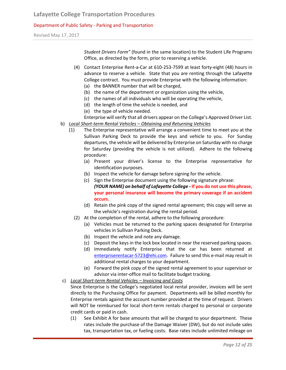Revised May 17, 2017

*Student Drivers Form"* (found in the same location) to the Student Life Programs Office, as directed by the form, prior to reserving a vehicle.

- (4) Contact Enterprise Rent-a-Car at 610-253-7599 at least forty-eight (48) hours in advance to reserve a vehicle. State that you are renting through the Lafayette College contract. You must provide Enterprise with the following information:
	- (a) the BANNER number that will be charged,
	- (b) the name of the department or organization using the vehicle,
	- (c) the names of all individuals who will be operating the vehicle,
	- (d) the length of time the vehicle is needed, and
	- (e) the type of vehicle needed.
	- Enterprise will verify that all drivers appear on the College's Approved Driver List.
- b) *Local Short-term Rental Vehicles – Obtaining and Returning Vehicles*
	- (1) The Enterprise representative will arrange a convenient time to meet you at the Sullivan Parking Deck to provide the keys and vehicle to you. For Sunday departures, the vehicle will be delivered by Enterprise on Saturday with no charge for Saturday (providing the vehicle is not utilized). Adhere to the following procedure:
		- (a) Present your driver's license to the Enterprise representative for identification purposes.
		- (b) Inspect the vehicle for damage before signing for the vehicle.
		- (c) Sign the Enterprise document using the following signature phrase: *(YOUR NAME) on behalf of Lafayette College -* **If you do not use this phrase, your personal insurance will become the primary coverage if an accident occurs.**
		- (d) Retain the pink copy of the signed rental agreement; this copy will serve as the vehicle's registration during the rental period.
		- (2) At the completion of the rental, adhere to the following procedure:
			- (a) Vehicles must be returned to the parking spaces designated for Enterprise vehicles in Sullivan Parking Deck.
			- (b) Inspect the vehicle and note any damage.
			- (c) Deposit the keys in the lock box located in near the reserved parking spaces.
			- (d) Immediately notify Enterprise that the car has been returned at [enterpriserentacar-5723@ehi.com.](mailto:enterpriserentacar-5723@ehi.com) Failure to send this e-mail may result in additional rental charges to your department.
			- (e) Forward the pink copy of the signed rental agreement to your supervisor or advisor via inter-office mail to facilitate budget tracking.
- c) *Local Short-term Rental Vehicles – Invoicing and Costs*

Since Enterprise is the College's negotiated local rental provider, invoices will be sent directly to the Purchasing Office for payment. Departments will be billed monthly for Enterprise rentals against the account number provided at the time of request. Drivers will NOT be reimbursed for local short-term rentals charged to personal or corporate credit cards or paid in cash.

(1) See Exhibit A for base amounts that will be charged to your department. These rates include the purchase of the Damage Waiver (DW), but do not include sales tax, transportation tax, or fueling costs. Base rates include unlimited mileage on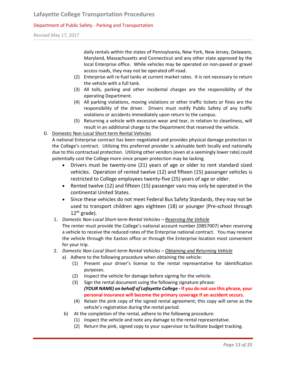Revised May 17, 2017

daily rentals within the states of Pennsylvania, New York, New Jersey, Delaware, Maryland, Massachusetts and Connecticut and any other state approved by the local Enterprise office. While vehicles may be operated on non-paved or gravel access roads, they may not be operated off-road.

- (2) Enterprise will re-fuel tanks at current market rates. It is not necessary to return the vehicle with a full tank.
- (3) All tolls, parking and other incidental charges are the responsibility of the operating Department.
- (4) All parking violations, moving violations or other traffic tickets or fines are the responsibility of the driver. Drivers must notify Public Safety of any traffic violations or accidents immediately upon return to the campus.
- (5) Returning a vehicle with excessive wear and tear, in relation to cleanliness, will result in an additional charge to the Department that reserved the vehicle.
- D. Domestic Non-Local Short-term Rental Vehicles

A national Enterprise contract has been negotiated and provides physical damage protection in the College's contract. Utilizing this preferred provider is advisable both locally and nationally due to this contractual protection. Utilizing other vendors (even at a seemingly lower rate) could potentially cost the College more since proper protection may be lacking.

- Drivers must be twenty-one (21) years of age or older to rent standard sized vehicles. Operation of rented twelve (12) and fifteen (15) passenger vehicles is restricted to College employees twenty-five (25) years of age or older.
- Rented twelve (12) and fifteen (15) passenger vans may only be operated in the continental United States.
- Since these vehicles do not meet Federal Bus Safety Standards, they may not be used to transport children ages eighteen (18) or younger (Pre-school through  $12^{th}$  grade).
- 1. *Domestic Non-Local Short-term Rental Vehicles – Reserving the Vehicle*
	- The renter must provide the College's national account number (DB57007) when reserving a vehicle to receive the reduced rates of the Enterprise national contract. You may reserve the vehicle through the Easton office or through the Enterprise location most convenient for your trip.
- 2. *Domestic Non-Local Short-term Rental Vehicles – Obtaining and Returning Vehicle*
	- a) Adhere to the following procedure when obtaining the vehicle:
		- (1) Present your driver's license to the rental representative for identification purposes.
		- (2) Inspect the vehicle for damage before signing for the vehicle.
		- (3) Sign the rental document using the following signature phrase: *(YOUR NAME) on behalf of Lafayette College -* **If you do not use this phrase, your personal insurance will become the primary coverage if an accident occurs.**
		- (4) Retain the pink copy of the signed rental agreement; this copy will serve as the vehicle's registration during the rental period.
		- b) At the completion of the rental, adhere to the following procedure:
			- (1) Inspect the vehicle and note any damage to the rental representative.
			- (2) Return the pink, signed copy to your supervisor to facilitate budget tracking.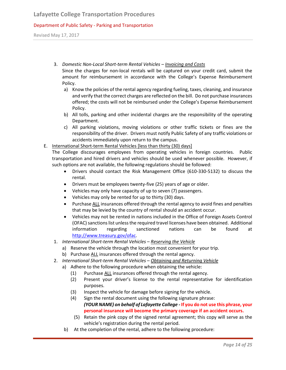Revised May 17, 2017

- 3. *Domestic Non-Local Short-term Rental Vehicles – Invoicing and Costs* Since the charges for non-local rentals will be captured on your credit card, submit the amount for reimbursement in accordance with the College's Expense Reimbursement Policy.
	- a) Know the policies of the rental agency regarding fueling, taxes, cleaning, and insurance and verify that the correct charges are reflected on the bill. Do not purchase insurances offered; the costs will not be reimbursed under the College's Expense Reimbursement Policy.
	- b) All tolls, parking and other incidental charges are the responsibility of the operating Department.
	- c) All parking violations, moving violations or other traffic tickets or fines are the responsibility of the driver. Drivers must notify Public Safety of any traffic violations or accidents immediately upon return to the campus.
- E. International Short-term Rental Vehicles [less than thirty (30) days] The College discourages employees from operating vehicles in foreign countries. Public transportation and hired drivers and vehicles should be used whenever possible. However, if such options are not available, the following regulations should be followed:
	- Drivers should contact the Risk Management Office (610-330-5132) to discuss the rental.
	- Drivers must be employees twenty-five (25) years of age or older.
	- Vehicles may only have capacity of up to seven (7) passengers.
	- Vehicles may only be rented for up to thirty (30) days.
	- Purchase ALL insurances offered through the rental agency to avoid fines and penalties that may be levied by the country of rental should an accident occur.
	- Vehicles may not be rented in nations included in the Office of Foreign Assets Control (OFAC) sanctions list unless the required travel licenses have been obtained. Additional information regarding sanctioned nations can be found at [http://www.treasury.gov/ofac.](http://www.treasury.gov/ofac)
	- 1. *International Short-term Rental Vehicles – Reserving the Vehicle*
		- a) Reserve the vehicle through the location most convenient for your trip.
		- b) Purchase ALL insurances offered through the rental agency.
	- 2. *International Short-term Rental Vehicles – Obtaining and Returning Vehicle*
		- a) Adhere to the following procedure when obtaining the vehicle:
			- (1) Purchase ALL insurances offered through the rental agency.
			- (2) Present your driver's license to the rental representative for identification purposes.
			- (3) Inspect the vehicle for damage before signing for the vehicle.
			- (4) Sign the rental document using the following signature phrase: *(YOUR NAME) on behalf of Lafayette College -* **If you do not use this phrase, your personal insurance will become the primary coverage if an accident occurs.**
			- (5) Retain the pink copy of the signed rental agreement; this copy will serve as the vehicle's registration during the rental period.
			- b) At the completion of the rental, adhere to the following procedure: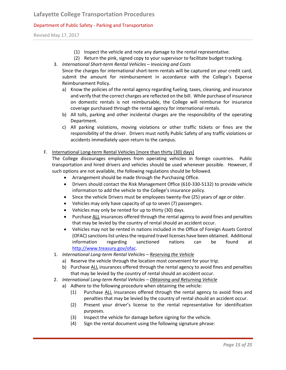Revised May 17, 2017

- (1) Inspect the vehicle and note any damage to the rental representative.
- (2) Return the pink, signed copy to your supervisor to facilitate budget tracking.
- 3. *International Short-term Rental Vehicles – Invoicing and Costs*

Since the charges for international short-term rentals will be captured on your credit card, submit the amount for reimbursement in accordance with the College's Expense Reimbursement Policy.

- a) Know the policies of the rental agency regarding fueling, taxes, cleaning, and insurance and verify that the correct charges are reflected on the bill. While purchase of insurance on domestic rentals is not reimbursable, the College will reimburse for insurance coverage purchased through the rental agency for international rentals.
- b) All tolls, parking and other incidental charges are the responsibility of the operating Department.
- c) All parking violations, moving violations or other traffic tickets or fines are the responsibility of the driver. Drivers must notify Public Safety of any traffic violations or accidents immediately upon return to the campus.

# F. International Long-term Rental Vehicles [more than thirty (30) days]

The College discourages employees from operating vehicles in foreign countries. Public transportation and hired drivers and vehicles should be used whenever possible. However, if such options are not available, the following regulations should be followed.

- Arrangement should be made through the Purchasing Office.
- Drivers should contact the Risk Management Office (610-330-5132) to provide vehicle information to add the vehicle to the College's insurance policy.
- Since the vehicle Drivers must be employees twenty-five (25) years of age or older.
- Vehicles may only have capacity of up to seven (7) passengers.
- Vehicles may only be rented for up to thirty (30) days.
- Purchase ALL insurances offered through the rental agency to avoid fines and penalties that may be levied by the country of rental should an accident occur.
- Vehicles may not be rented in nations included in the Office of Foreign Assets Control (OFAC) sanctions list unless the required travel licenses have been obtained. Additional information regarding sanctioned nations can be found at [http://www.treasury.gov/ofac.](http://www.treasury.gov/ofac)
- 1. *International Long-term Rental Vehicles – Reserving the Vehicle*
	- a) Reserve the vehicle through the location most convenient for your trip.
	- b) Purchase ALL insurances offered through the rental agency to avoid fines and penalties that may be levied by the country of rental should an accident occur.
- 2. *International Long-term Rental Vehicles – Obtaining and Returning Vehicle*
	- a) Adhere to the following procedure when obtaining the vehicle:
		- (1) Purchase ALL insurances offered through the rental agency to avoid fines and penalties that may be levied by the country of rental should an accident occur.
		- (2) Present your driver's license to the rental representative for identification purposes.
		- (3) Inspect the vehicle for damage before signing for the vehicle.
		- (4) Sign the rental document using the following signature phrase: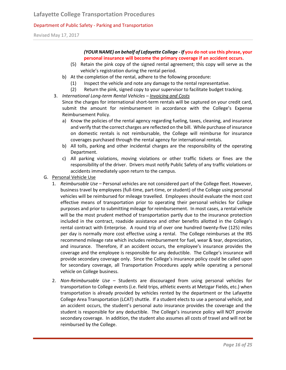Revised May 17, 2017

# *(YOUR NAME) on behalf of Lafayette College - If* **you do not use this phrase, your personal insurance will become the primary coverage if an accident occurs.**

- (5) Retain the pink copy of the signed rental agreement; this copy will serve as the vehicle's registration during the rental period.
- b) At the completion of the rental, adhere to the following procedure:
	- (1) Inspect the vehicle and note any damage to the rental representative.
	- (2) Return the pink, signed copy to your supervisor to facilitate budget tracking.
- 3. *International Long-term Rental Vehicles – Invoicing and Costs*

Since the charges for international short-term rentals will be captured on your credit card, submit the amount for reimbursement in accordance with the College's Expense Reimbursement Policy.

- a) Know the policies of the rental agency regarding fueling, taxes, cleaning, and insurance and verify that the correct charges are reflected on the bill. While purchase of insurance on domestic rentals is not reimbursable, the College will reimburse for insurance coverages purchased through the rental agency for international rentals.
- b) All tolls, parking and other incidental charges are the responsibility of the operating Department.
- c) All parking violations, moving violations or other traffic tickets or fines are the responsibility of the driver. Drivers must notify Public Safety of any traffic violations or accidents immediately upon return to the campus.
- G. Personal Vehicle Use
	- 1. *Reimbursable Use* Personal vehicles are not considered part of the College fleet. However, business travel by employees (full-time, part-time, or student) of the College using personal vehicles will be reimbursed for mileage travelled. Employees should evaluate the most cost effective means of transportation prior to operating their personal vehicles for College purposes and prior to submitting mileage for reimbursement. In most cases, a rental vehicle will be the most prudent method of transportation partly due to the insurance protection included in the contract, roadside assistance and other benefits allotted in the College's rental contract with Enterprise. A round trip of over one hundred twenty-five (125) miles per day is normally more cost effective using a rental. The College reimburses at the IRS recommend mileage rate which includes reimbursement for fuel, wear & tear, depreciation, and insurance. Therefore, if an accident occurs, the employee's insurance provides the coverage and the employee is responsible for any deductible. The College's insurance will provide secondary coverage only. Since the College's insurance policy could be called upon for secondary coverage, all Transportation Procedures apply while operating a personal vehicle on College business.
	- 2. *Non-Reimbursable Use* Students are discouraged from using personal vehicles for transportation to College events (i.e. field trips, athletic events at Metzgar Fields, etc.) when transportation is already provided by vehicles rented by the department or the Lafayette College Area Transportation (LCAT) shuttle. If a student elects to use a personal vehicle, and an accident occurs, the student's personal auto insurance provides the coverage and the student is responsible for any deductible. The College's insurance policy will NOT provide secondary coverage. In addition, the student also assumes all costs of travel and will not be reimbursed by the College.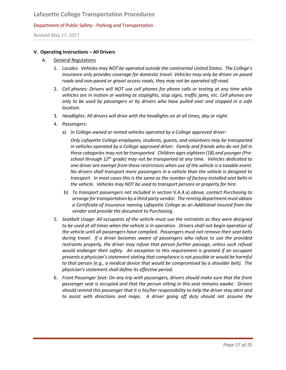Revised May 17, 2017

#### **V. Operating Instructions – All Drivers**

#### A. General Regulations

- 1. Locales: *Vehicles may NOT be operated outside the continental United States. The College's insurance only provides coverage for domestic travel. Vehicles may only be driven on paved roads and non-paved or gravel access roads, they may not be operated off-road.*
- 2. *Cell phones: Drivers will NOT use cell phones for phone calls or texting at any time while vehicles are in motion or waiting at stoplights, stop signs, traffic jams, etc. Cell phones are only to be used by passengers or by drivers who have pulled over and stopped in a safe location.*
- 3. *Headlights: All drivers will drive with the headlights on at all times, day or night.*
- 4. *Passengers:* 
	- a) *In College-owned or rented vehicles operated by a College approved driver:*

*Only Lafayette College employees, students, guests, and volunteers may be transported in vehicles operated by a College approved driver. Family and friends who do not fall in these categories may not be transported. Children ages eighteen (18) and younger (Preschool through 12th grade) may not be transported at any time. Vehicles dedicated to one driver are exempt from these restrictions when use of the vehicle is a taxable event. No drivers shall transport more passengers in a vehicle than the vehicle is designed to transport. In most cases this is the same as the number of factory-installed seat belts in the vehicle. Vehicles may NOT be used to transport persons or property for hire.*

- b) *To transport passengers not included in section* V.A.4.a) *above, contact Purchasing to arrange for transportation by a third party vendor. The renting department must obtain a Certificate of Insurance naming Lafayette College as an Additional Insured from the vendor and provide the document to Purchasing.*
- 5. *Seatbelt Usage: All occupants of the vehicle must use the restraints as they were designed to be used at all times when the vehicle is in operation. Drivers shall not begin operation of the vehicle until all passengers have complied. Passengers must not remove their seat belts during travel. If a driver becomes aware of passengers who refuse to use the provided restraints properly, the driver may refuse that person further passage, unless such refusal would endanger their safety. An exception to this requirement is granted if an occupant presents a physician's statement stating that compliance is not possible or would be harmful to that person (e.g., a medical device that would be compromised by a shoulder belt). The physician's statement shall define its effective period.*
- 6. *Front Passenger Seat: On any trip with passengers, drivers should make sure that the front passenger seat is occupied and that the person sitting in this seat remains awake. Drivers should remind this passenger that it is his/her responsibility to help the driver stay alert and to assist with directions and maps. A driver going off duty should not assume the*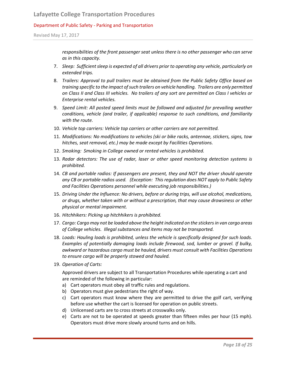Revised May 17, 2017

*responsibilities of the front passenger seat unless there is no other passenger who can serve as in this capacity.*

- 7. Sleep: Sufficient sleep is expected of all drivers prior to operating any vehicle, particularly on *extended trips.*
- 8. *Trailers: Approval to pull trailers must be obtained from the Public Safety Office based on training specific to the impact of such trailers on vehicle handling. Trailers are only permitted on Class II and Class III vehicles. No trailers of any sort are permitted on Class I vehicles or Enterprise rental vehicles.*
- 9. *Speed Limit: All posted speed limits must be followed and adjusted for prevailing weather conditions, vehicle (and trailer, if applicable) response to such conditions, and familiarity with the route.*
- 10. *Vehicle top carriers: Vehicle top carriers or other carriers are not permitted.*
- 11. *Modifications: No modifications to vehicles (ski or bike racks, antennae, stickers, signs, tow hitches, seat removal, etc.) may be made except by Facilities Operations.*
- 12. *Smoking: Smoking in College owned or rented vehicles is prohibited.*
- 13. *Radar detectors: The use of radar, laser or other speed monitoring detection systems is prohibited.*
- 14. *CB and portable radios: If passengers are present, they and NOT the driver should operate any CB or portable radios used. (Exception: This regulation does NOT apply to Public Safety and Facilities Operations personnel while executing job responsibilities.)*
- 15. *Driving Under the Influence: No drivers, before or during trips, will use alcohol, medications, or drugs, whether taken with or without a prescription, that may cause drowsiness or other physical or mental impairment.*
- 16. *Hitchhikers: Picking up hitchhikers is prohibited.*
- 17. *Cargo: Cargo may not be loaded above the height indicated on the stickers in van cargo areas of College vehicles. Illegal substances and items may not be transported.*
- 18. *Loads: Hauling loads is prohibited, unless the vehicle is specifically designed for such loads. Examples of potentially damaging loads include firewood, sod, lumber or gravel. If bulky, awkward or hazardous cargo must be hauled, drivers must consult with Facilities Operations to ensure cargo will be properly stowed and hauled.*
- 19. *Operation of Carts:*

Approved drivers are subject to all Transportation Procedures while operating a cart and are reminded of the following in particular:

- a) Cart operators must obey all traffic rules and regulations.
- b) Operators must give pedestrians the right of way.
- c) Cart operators must know where they are permitted to drive the golf cart, verifying before use whether the cart is licensed for operation on public streets.
- d) Unlicensed carts are to cross streets at crosswalks only.
- e) Carts are not to be operated at speeds greater than fifteen miles per hour (15 mph). Operators must drive more slowly around turns and on hills.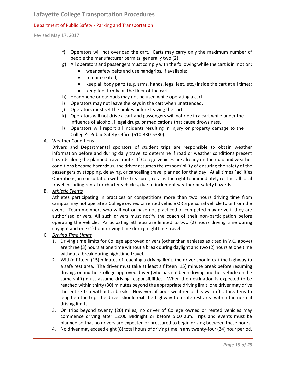Revised May 17, 2017

- f) Operators will not overload the cart. Carts may carry only the maximum number of people the manufacturer permits; generally two (2).
- g) All operators and passengers must comply with the following while the cart is in motion:
	- wear safety belts and use handgrips, if available;
	- remain seated;
	- keep all body parts (e.g. arms, hands, legs, feet, etc.) inside the cart at all times;
	- keep feet firmly on the floor of the cart.
- h) Headphone or ear buds may not be used while operating a cart.
- i) Operators may not leave the keys in the cart when unattended.
- j) Operators must set the brakes before leaving the cart.
- k) Operators will not drive a cart and passengers will not ride in a cart while under the influence of alcohol, illegal drugs, or medications that cause drowsiness.
- l) Operators will report all incidents resulting in injury or property damage to the College's Public Safety Office (610-330-5330).
- A. Weather Conditions

Drivers and Departmental sponsors of student trips are responsible to obtain weather information before and during daily travel to determine if road or weather conditions present hazards along the planned travel route. If College vehicles are already on the road and weather conditions become hazardous, the driver assumes the responsibility of ensuring the safety of the passengers by stopping, delaying, or cancelling travel planned for that day. At all times Facilities Operations, in consultation with the Treasurer, retains the right to immediately restrict all local travel including rental or charter vehicles, due to inclement weather or safety hazards.

B. *Athletic Events*

Athletes participating in practices or competitions more than two hours driving time from campus may not operate a College owned or rented vehicle OR a personal vehicle to or from the event. Team members who will not or have not practiced or competed may drive if they are authorized drivers. All such drivers must notify the coach of their non-participation before operating the vehicle. Participating athletes are limited to two (2) hours driving time during daylight and one (1) hour driving time during nighttime travel.

- C. *Driving Time Limits*
	- 1. Driving time limits for College approved drivers (other than athletes as cited in V.C. above) are three (3) hours at one time without a break during daylight and two (2) hours at one time without a break during nighttime travel.
	- 2. Within fifteen (15) minutes of reaching a driving limit, the driver should exit the highway to a safe rest area. The driver must take at least a fifteen (15) minute break before resuming driving, or another College approved driver (who has not been driving another vehicle on the same shift) must assume driving responsibilities. When the destination is expected to be reached within thirty (30) minutes beyond the appropriate driving limit, one driver may drive the entire trip without a break. However, if poor weather or heavy traffic threatens to lengthen the trip, the driver should exit the highway to a safe rest area within the normal driving limits.
	- 3. On trips beyond twenty (20) miles, no driver of College owned or rented vehicles may commence driving after 12:00 Midnight or before 5:00 a.m. Trips and events must be planned so that no drivers are expected or pressured to begin driving between these hours.
	- 4. No driver may exceed eight (8) total hours of driving time in any twenty-four (24) hour period.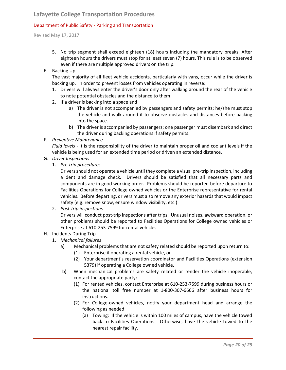# **Lafayette College Transportation Procedures**

# Department of Public Safety - Parking and Transportation

Revised May 17, 2017

5. No trip segment shall exceed eighteen (18) hours including the mandatory breaks. After eighteen hours the drivers must stop for at least seven (7) hours. This rule is to be observed even if there are multiple approved drivers on the trip.

# E. Backing Up

The vast majority of all fleet vehicle accidents, particularly with vans, occur while the driver is backing up. In order to prevent losses from vehicles operating in reverse:

- 1. Drivers will always enter the driver's door only after walking around the rear of the vehicle to note potential obstacles and the distance to them.
- 2. If a driver is backing into a space and
	- a) The driver is not accompanied by passengers and safety permits; he/she must stop the vehicle and walk around it to observe obstacles and distances before backing into the space.
	- b) The driver is accompanied by passengers; one passenger must disembark and direct the driver during backing operations if safety permits.

# F. *Preventive Maintenance*

*Fluid levels -* It is the responsibility of the driver to maintain proper oil and coolant levels if the vehicle is being used for an extended time period or driven an extended distance.

- G. *Driver Inspections*
	- 1. *Pre-trip procedures*

Drivers should not operate a vehicle until they complete a visual pre-trip inspection, including a dent and damage check. Drivers should be satisfied that all necessary parts and components are in good working order. Problems should be reported before departure to Facilities Operations for College owned vehicles or the Enterprise representative for rental vehicles. Before departing, drivers must also remove any exterior hazards that would impact safety (e.g. remove snow, ensure window visibility, etc.)

2. *Post-trip inspections* 

Drivers will conduct post-trip inspections after trips. Unusual noises, awkward operation, or other problems should be reported to Facilities Operations for College owned vehicles or Enterprise at 610-253-7599 for rental vehicles.

#### H. Incidents During Trip

- 1. *Mechanical failures*
	- a) Mechanical problems that are not safety related should be reported upon return to:
		- (1) Enterprise if operating a rental vehicle, or
		- (2) Your department's reservation coordinator and Facilities Operations (extension 5379) if operating a College owned vehicle.
	- b) When mechanical problems are safety related or render the vehicle inoperable, contact the appropriate party:
		- (1) For rented vehicles, contact Enterprise at 610-253-7599 during business hours or the national toll free number at 1-800-307-6666 after business hours for instructions.
		- (2) For College-owned vehicles, notify your department head and arrange the following as needed:
			- (a) Towing: If the vehicle is within 100 miles of campus, have the vehicle towed back to Facilities Operations. Otherwise, have the vehicle towed to the nearest repair facility.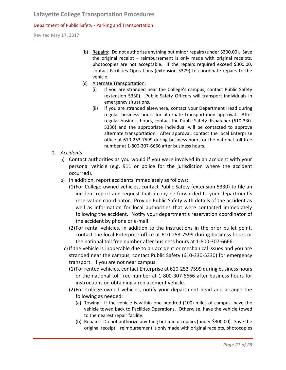Revised May 17, 2017

- (b) Repairs: Do not authorize anything but minor repairs (under \$300.00). Save the original receipt – reimbursement is only made with original receipts, photocopies are not acceptable. If the repairs required exceed \$300.00, contact Facilities Operations (extension 5379) to coordinate repairs to the vehicle.
- (c) Alternate Transportation:
	- (i) If you are stranded near the College's campus, contact Public Safety (extension 5330). Public Safety Officers will transport individuals in emergency situations.
	- (ii) If you are stranded elsewhere, contact your Department Head during regular business hours for alternate transportation approval. After regular business hours, contact the Public Safety dispatcher (610-330- 5330) and the appropriate individual will be contacted to approve alternate transportation. After approval, contact the local Enterprise office at 610-253-7599 during business hours or the national toll free number at 1-800-307-6666 after business hours.
- 2. *Accidents*
	- a) Contact authorities as you would if you were involved in an accident with your personal vehicle (e.g. 911 or police for the jurisdiction where the accident occurred).
	- b) In addition, report accidents immediately as follows:
		- (1)For College-owned vehicles, contact Public Safety (extension 5330) to file an incident report and request that a copy be forwarded to your department's reservation coordinator. Provide Public Safety with details of the accident as well as information for local authorities that were contacted immediately following the accident. Notify your department's reservation coordinator of the accident by phone or e-mail.
		- (2)For rental vehicles, in addition to the instructions in the prior bullet point, contact the local Enterprise office at 610-253-7599 during business hours or the national toll free number after business hours at 1-800-307-6666.
		- c) If the vehicle is inoperable due to an accident or mechanical issues and you are stranded near the campus, contact Public Safety (610-330-5330) for emergency transport. If you are not near campus:
			- (1)For rented vehicles, contact Enterprise at 610-253-7599 during business hours or the national toll free number at 1-800-307-6666 after business hours for instructions on obtaining a replacement vehicle.
			- (2)For College-owned vehicles, notify your department head and arrange the following as needed:
				- (a) Towing: If the vehicle is within one hundred (100) miles of campus, have the vehicle towed back to Facilities Operations. Otherwise, have the vehicle towed to the nearest repair facility.
				- (b) Repairs: Do not authorize anything but minor repairs (under \$300.00). Save the original receipt – reimbursement is only made with original receipts, photocopies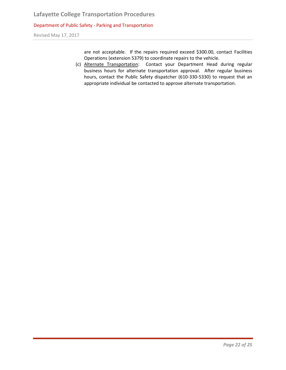Revised May 17, 2017

are not acceptable. If the repairs required exceed \$300.00, contact Facilities Operations (extension 5379) to coordinate repairs to the vehicle.

(c) Alternate Transportation: Contact your Department Head during regular business hours for alternate transportation approval. After regular business hours, contact the Public Safety dispatcher (610-330-5330) to request that an appropriate individual be contacted to approve alternate transportation.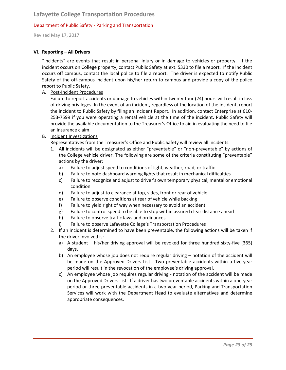Revised May 17, 2017

#### **VI. Reporting – All Drivers**

"Incidents" are events that result in personal injury or in damage to vehicles or property. If the incident occurs on College property, contact Public Safety at ext. 5330 to file a report. If the incident occurs off campus, contact the local police to file a report. The driver is expected to notify Public Safety of the off-campus incident upon his/her return to campus and provide a copy of the police report to Public Safety.

A. Post-Incident Procedures

Failure to report accidents or damage to vehicles within twenty-four (24) hours will result in loss of driving privileges. In the event of an incident, regardless of the location of the incident, report the incident to Public Safety by filing an Incident Report. In addition, contact Enterprise at 610- 253-7599 if you were operating a rental vehicle at the time of the incident. Public Safety will provide the available documentation to the Treasurer's Office to aid in evaluating the need to file an insurance claim.

B. Incident Investigations

Representatives from the Treasurer's Office and Public Safety will review all incidents.

- 1. All incidents will be designated as either "preventable" or "non-preventable" by actions of the College vehicle driver. The following are some of the criteria constituting "preventable" actions by the driver:
	- a) Failure to adjust speed to conditions of light, weather, road, or traffic
	- b) Failure to note dashboard warning lights that result in mechanical difficulties
	- c) Failure to recognize and adjust to driver's own temporary physical, mental or emotional condition
	- d) Failure to adjust to clearance at top, sides, front or rear of vehicle
	- e) Failure to observe conditions at rear of vehicle while backing
	- f) Failure to yield right of way when necessary to avoid an accident
	- g) Failure to control speed to be able to stop within assured clear distance ahead
	- h) Failure to observe traffic laws and ordinances
	- i) Failure to observe Lafayette College's Transportation Procedures
- 2. If an incident is determined to have been preventable, the following actions will be taken if the driver involved is:
	- a) A student his/her driving approval will be revoked for three hundred sixty-five (365) days.
	- b) An employee whose job does not require regular driving notation of the accident will be made on the Approved Drivers List. Two preventable accidents within a five-year period will result in the revocation of the employee's driving approval.
	- c) An employee whose job requires regular driving notation of the accident will be made on the Approved Drivers List. If a driver has two preventable accidents within a one-year period or three preventable accidents in a two-year period, Parking and Transportation Services will work with the Department Head to evaluate alternatives and determine appropriate consequences.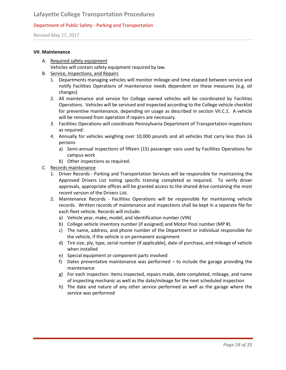Revised May 17, 2017

#### **VII. Maintenance**

A. Required safety equipment

Vehicles will contain safety equipment required by law.

- B. Service, Inspections, and Repairs
	- 1. Departments managing vehicles will monitor mileage and time elapsed between service and notify Facilities Operations of maintenance needs dependent on these measures (e.g. oil changes)
	- 2. All maintenance and service for College owned vehicles will be coordinated by Facilities Operations. Vehicles will be serviced and inspected according to the College vehicle checklist for preventive maintenance, depending on usage as described in section VII.C.1. A vehicle will be removed from operation if repairs are necessary.
	- 3. Facilities Operations will coordinate Pennsylvania Department of Transportation inspections as required:
	- 4. Annually for vehicles weighing over 10,000 pounds and all vehicles that carry less than 16 persons
		- a) Semi-annual inspections of fifteen (15) passenger vans used by Facilities Operations for campus work
		- b) Other inspections as required.
- C. Records maintenance
	- 1. Driver Records Parking and Transportation Services will be responsible for maintaining the Approved Drivers List noting specific training completed as required. To verify driver approvals, appropriate offices will be granted access to the shared drive containing the most recent version of the Drivers List.
	- 2. Maintenance Records Facilities Operations will be responsible for maintaining vehicle records. Written records of maintenance and inspections shall be kept in a separate file for each fleet vehicle. Records will include:
		- a) Vehicle year, make, model, and identification number (VIN)
		- b) College vehicle inventory number (if assigned) and Motor Pool number (MP #).
		- c) The name, address, and phone number of the Department or individual responsible for the vehicle, if the vehicle is on permanent assignment
		- d) Tire size, ply, type, serial number (if applicable), date of purchase, and mileage of vehicle when installed
		- e) Special equipment or component parts involved
		- f) Dates preventative maintenance was performed to include the garage providing the maintenance
		- g) For each inspection: items inspected, repairs made, date completed, mileage, and name of inspecting mechanic as well as the date/mileage for the next scheduled inspection
		- h) The date and nature of any other service performed as well as the garage where the service was performed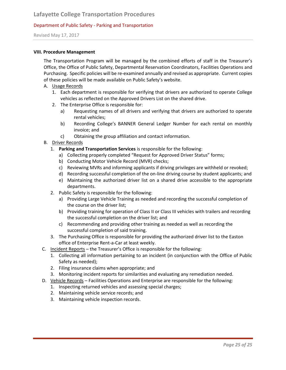Revised May 17, 2017

#### **VIII. Procedure Management**

The Transportation Program will be managed by the combined efforts of staff in the Treasurer's Office, the Office of Public Safety, Departmental Reservation Coordinators, Facilities Operations and Purchasing. Specific policies will be re-examined annually and revised as appropriate. Current copies of these policies will be made available on Public Safety's website.

- A. Usage Records
	- 1. Each department is responsible for verifying that drivers are authorized to operate College vehicles as reflected on the Approved Drivers List on the shared drive.
	- 2. The Enterprise Office is responsible for:
		- a) Requesting names of all drivers and verifying that drivers are authorized to operate rental vehicles;
		- b) Recording College's BANNER General Ledger Number for each rental on monthly invoice; and
		- c) Obtaining the group affiliation and contact information.
- B. Driver Records
	- 1. **Parking and Transportation Services** is responsible for the following:
		- a) Collecting properly completed "Request for Approved Driver Status" forms;
		- b) Conducting Motor Vehicle Record (MVR) checks;
		- c) Reviewing MVRs and informing applicants if driving privileges are withheld or revoked;
		- d) Recording successful completion of the on-line driving course by student applicants; and
		- e) Maintaining the authorized driver list on a shared drive accessible to the appropriate departments.
	- 2. Public Safety is responsible for the following:
		- a) Providing Large Vehicle Training as needed and recording the successful completion of the course on the driver list;
		- b) Providing training for operation of Class II or Class III vehicles with trailers and recording the successful completion on the driver list; and
		- c) Recommending and providing other training as needed as well as recording the successful completion of said training.
	- 3. The Purchasing Office is responsible for providing the authorized driver list to the Easton office of Enterprise Rent-a-Car at least weekly.
- C. Incident Reports the Treasurer's Office is responsible for the following:
	- 1. Collecting all information pertaining to an incident (in conjunction with the Office of Public Safety as needed);
	- 2. Filing insurance claims when appropriate; and
	- 3. Monitoring incident reports for similarities and evaluating any remediation needed.
- D. Vehicle Records Facilities Operations and Enterprise are responsible for the following:
	- 1. Inspecting returned vehicles and assessing special charges;
	- 2. Maintaining vehicle service records; and
	- 3. Maintaining vehicle inspection records.